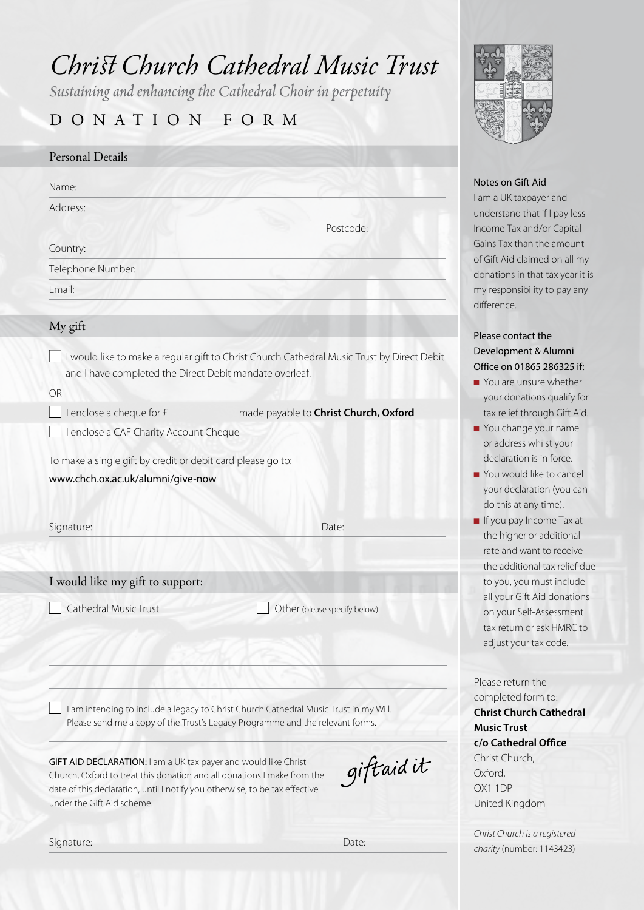# *ChristChurch Cathedral Music Trust*

*Sustaining and enhancing the Cathedral Choir in perpetuity*

# DONATION FORM

# Personal Details

Name:

Address:

Country:

Telephone Number:

Email:

#### My gift

n I would like to make a regular gift to Christ Church Cathedral Music Trust by Direct Debit and I have completed the Direct Debit mandate overleaf.

OR

n I enclose a cheque for £ made payable to **Christ Church, Oxford**

□ I enclose a CAF Charity Account Cheque

To make a single gift by credit or debit card please go to:

www.chch.ox.ac.uk/alumni/give-now

Signature: Date: Date: Date: Date: Date: Date: Date: Date: Date: Date: Date: Date: Date: Date: Date: Date: Date: Date: Date: Date: Date: Date: Date: Date: Date: Date: Date: Date: Date: Date: Date: Date: Date: Date: Date: D

Postcode:

## I would like my gift to support:

Cathedral Music Trust **n Other (please specify below)** Other (please specify below)

I am intending to include a legacy to Christ Church Cathedral Music Trust in my Will. Please send me a copy of the Trust's Legacy Programme and the relevant forms.

GIFT AID DECLARATION: I am a UK tax payer and would like Christ Church, Oxford to treat this donation and all donations I make from the date of this declaration, until I notify you otherwise, to be tax effective under the Gift Aid scheme.

giftaid it

Signature: Date: Date: Date: Date: Date: Date: Date: Date: Date: Date: Date: Date: Date: Date: Date: Date: Date: Date: Date: Date: Date: Date: Date: Date: Date: Date: Date: Date: Date: Date: Date: Date: Date: Date: Date: D



#### Notes on Gift Aid

I am a UK taxpayer and understand that if I pay less Income Tax and/or Capital Gains Tax than the amount of Gift Aid claimed on all my donations in that tax year it is my responsibility to pay any difference.

# Please contact the Development & Alumni Office on 01865 286325 if:

- $\blacksquare$  You are unsure whether your donations qualify for tax relief through Gift Aid.
- You change your name or address whilst your declaration is in force.
- **n** You would like to cancel your declaration (you can do this at any time).
- **n** If you pay Income Tax at the higher or additional rate and want to receive the additional tax relief due to you, you must include all your Gift Aid donations on your Self-Assessment tax return or ask HMRC to adjust your tax code.

Please return the completed form to: **Christ Church Cathedral Music Trust c/o Cathedral Office** Christ Church, Oxford, OX1 1DP United Kingdom

*Christ Church is a registered charity* (number: 1143423)